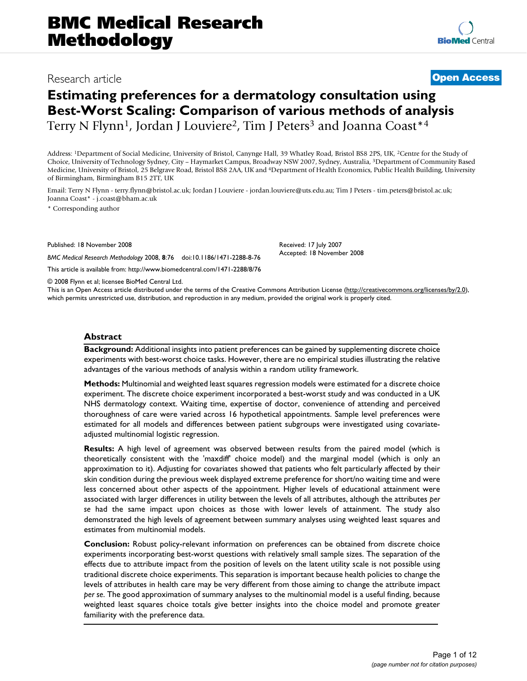# Research article **[Open Access](http://www.biomedcentral.com/info/about/charter/)**

# **Estimating preferences for a dermatology consultation using Best-Worst Scaling: Comparison of various methods of analysis** Terry N Flynn<sup>1</sup>, Jordan J Louviere<sup>2</sup>, Tim J Peters<sup>3</sup> and Joanna Coast<sup>\*4</sup>

Address: 1Department of Social Medicine, University of Bristol, Canynge Hall, 39 Whatley Road, Bristol BS8 2PS, UK, 2Centre for the Study of Choice, University of Technology Sydney, City – Haymarket Campus, Broadway NSW 2007, Sydney, Australia, 3Department of Community Based Medicine, University of Bristol, 25 Belgrave Road, Bristol BS8 2AA, UK and 4Department of Health Economics, Public Health Building, University of Birmingham, Birmingham B15 2TT, UK

Email: Terry N Flynn - terry.flynn@bristol.ac.uk; Jordan J Louviere - jordan.louviere@uts.edu.au; Tim J Peters - tim.peters@bristol.ac.uk; Joanna Coast\* - j.coast@bham.ac.uk

\* Corresponding author

Published: 18 November 2008

*BMC Medical Research Methodology* 2008, **8**:76 doi:10.1186/1471-2288-8-76

[This article is available from: http://www.biomedcentral.com/1471-2288/8/76](http://www.biomedcentral.com/1471-2288/8/76)

© 2008 Flynn et al; licensee BioMed Central Ltd.

This is an Open Access article distributed under the terms of the Creative Commons Attribution License [\(http://creativecommons.org/licenses/by/2.0\)](http://creativecommons.org/licenses/by/2.0), which permits unrestricted use, distribution, and reproduction in any medium, provided the original work is properly cited.

Received: 17 July 2007 Accepted: 18 November 2008

#### **Abstract**

**Background:** Additional insights into patient preferences can be gained by supplementing discrete choice experiments with best-worst choice tasks. However, there are no empirical studies illustrating the relative advantages of the various methods of analysis within a random utility framework.

**Methods:** Multinomial and weighted least squares regression models were estimated for a discrete choice experiment. The discrete choice experiment incorporated a best-worst study and was conducted in a UK NHS dermatology context. Waiting time, expertise of doctor, convenience of attending and perceived thoroughness of care were varied across 16 hypothetical appointments. Sample level preferences were estimated for all models and differences between patient subgroups were investigated using covariateadjusted multinomial logistic regression.

**Results:** A high level of agreement was observed between results from the paired model (which is theoretically consistent with the 'maxdiff' choice model) and the marginal model (which is only an approximation to it). Adjusting for covariates showed that patients who felt particularly affected by their skin condition during the previous week displayed extreme preference for short/no waiting time and were less concerned about other aspects of the appointment. Higher levels of educational attainment were associated with larger differences in utility between the levels of all attributes, although the attributes *per se* had the same impact upon choices as those with lower levels of attainment. The study also demonstrated the high levels of agreement between summary analyses using weighted least squares and estimates from multinomial models.

**Conclusion:** Robust policy-relevant information on preferences can be obtained from discrete choice experiments incorporating best-worst questions with relatively small sample sizes. The separation of the effects due to attribute impact from the position of levels on the latent utility scale is not possible using traditional discrete choice experiments. This separation is important because health policies to change the levels of attributes in health care may be very different from those aiming to change the attribute impact *per se*. The good approximation of summary analyses to the multinomial model is a useful finding, because weighted least squares choice totals give better insights into the choice model and promote greater familiarity with the preference data.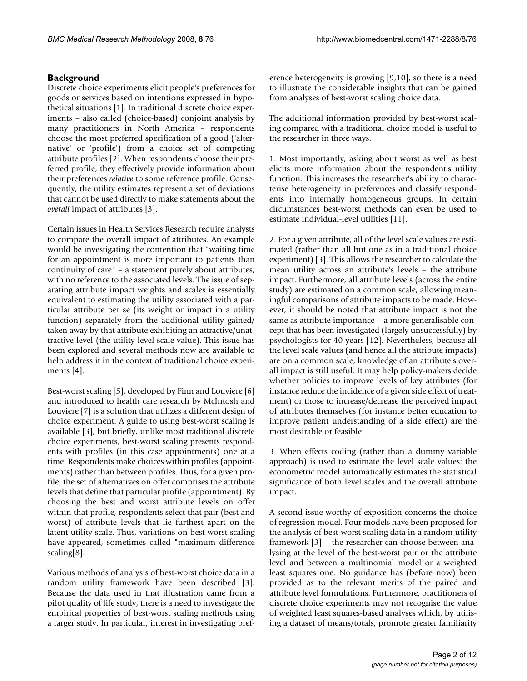# **Background**

Discrete choice experiments elicit people's preferences for goods or services based on intentions expressed in hypothetical situations [1]. In traditional discrete choice experiments – also called (choice-based) conjoint analysis by many practitioners in North America – respondents choose the most preferred specification of a good ('alternative' or 'profile') from a choice set of competing attribute profiles [2]. When respondents choose their preferred profile, they effectively provide information about their preferences *relative* to some reference profile. Consequently, the utility estimates represent a set of deviations that cannot be used directly to make statements about the *overall* impact of attributes [3].

Certain issues in Health Services Research require analysts to compare the overall impact of attributes. An example would be investigating the contention that "waiting time for an appointment is more important to patients than continuity of care" – a statement purely about attributes, with no reference to the associated levels. The issue of separating attribute impact weights and scales is essentially equivalent to estimating the utility associated with a particular attribute per se (its weight or impact in a utility function) separately from the additional utility gained/ taken away by that attribute exhibiting an attractive/unattractive level (the utility level scale value). This issue has been explored and several methods now are available to help address it in the context of traditional choice experiments [4].

Best-worst scaling [5], developed by Finn and Louviere [6] and introduced to health care research by McIntosh and Louviere [7] is a solution that utilizes a different design of choice experiment. A guide to using best-worst scaling is available [3], but briefly, unlike most traditional discrete choice experiments, best-worst scaling presents respondents with profiles (in this case appointments) one at a time. Respondents make choices within profiles (appointments) rather than between profiles. Thus, for a given profile, the set of alternatives on offer comprises the attribute levels that define that particular profile (appointment). By choosing the best and worst attribute levels on offer within that profile, respondents select that pair (best and worst) of attribute levels that lie furthest apart on the latent utility scale. Thus, variations on best-worst scaling have appeared, sometimes called "maximum difference scaling[8].

Various methods of analysis of best-worst choice data in a random utility framework have been described [3]. Because the data used in that illustration came from a pilot quality of life study, there is a need to investigate the empirical properties of best-worst scaling methods using a larger study. In particular, interest in investigating preference heterogeneity is growing [9,10], so there is a need to illustrate the considerable insights that can be gained from analyses of best-worst scaling choice data.

The additional information provided by best-worst scaling compared with a traditional choice model is useful to the researcher in three ways.

1. Most importantly, asking about worst as well as best elicits more information about the respondent's utility function. This increases the researcher's ability to characterise heterogeneity in preferences and classify respondents into internally homogeneous groups. In certain circumstances best-worst methods can even be used to estimate individual-level utilities [11].

2. For a given attribute, all of the level scale values are estimated (rather than all but one as in a traditional choice experiment) [3]. This allows the researcher to calculate the mean utility across an attribute's levels – the attribute impact. Furthermore, all attribute levels (across the entire study) are estimated on a common scale, allowing meaningful comparisons of attribute impacts to be made. However, it should be noted that attribute impact is not the same as attribute importance – a more generalisable concept that has been investigated (largely unsuccessfully) by psychologists for 40 years [12]. Nevertheless, because all the level scale values (and hence all the attribute impacts) are on a common scale, knowledge of an attribute's overall impact is still useful. It may help policy-makers decide whether policies to improve levels of key attributes (for instance reduce the incidence of a given side effect of treatment) or those to increase/decrease the perceived impact of attributes themselves (for instance better education to improve patient understanding of a side effect) are the most desirable or feasible.

3. When effects coding (rather than a dummy variable approach) is used to estimate the level scale values: the econometric model automatically estimates the statistical significance of both level scales and the overall attribute impact.

A second issue worthy of exposition concerns the choice of regression model. Four models have been proposed for the analysis of best-worst scaling data in a random utility framework [3] – the researcher can choose between analysing at the level of the best-worst pair or the attribute level and between a multinomial model or a weighted least squares one. No guidance has (before now) been provided as to the relevant merits of the paired and attribute level formulations. Furthermore, practitioners of discrete choice experiments may not recognise the value of weighted least squares-based analyses which, by utilising a dataset of means/totals, promote greater familiarity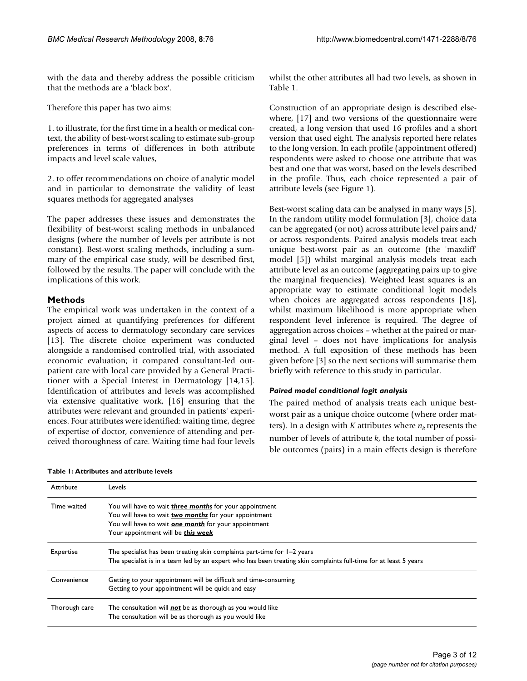with the data and thereby address the possible criticism that the methods are a 'black box'.

Therefore this paper has two aims:

1. to illustrate, for the first time in a health or medical context, the ability of best-worst scaling to estimate sub-group preferences in terms of differences in both attribute impacts and level scale values,

2. to offer recommendations on choice of analytic model and in particular to demonstrate the validity of least squares methods for aggregated analyses

The paper addresses these issues and demonstrates the flexibility of best-worst scaling methods in unbalanced designs (where the number of levels per attribute is not constant). Best-worst scaling methods, including a summary of the empirical case study, will be described first, followed by the results. The paper will conclude with the implications of this work.

# **Methods**

The empirical work was undertaken in the context of a project aimed at quantifying preferences for different aspects of access to dermatology secondary care services [13]. The discrete choice experiment was conducted alongside a randomised controlled trial, with associated economic evaluation; it compared consultant-led outpatient care with local care provided by a General Practitioner with a Special Interest in Dermatology [14,15]. Identification of attributes and levels was accomplished via extensive qualitative work, [16] ensuring that the attributes were relevant and grounded in patients' experiences. Four attributes were identified: waiting time, degree of expertise of doctor, convenience of attending and perceived thoroughness of care. Waiting time had four levels

**Table 1: Attributes and attribute levels**

whilst the other attributes all had two levels, as shown in Table 1.

Construction of an appropriate design is described elsewhere, [17] and two versions of the questionnaire were created, a long version that used 16 profiles and a short version that used eight. The analysis reported here relates to the long version. In each profile (appointment offered) respondents were asked to choose one attribute that was best and one that was worst, based on the levels described in the profile. Thus, each choice represented a pair of attribute levels (see Figure 1).

Best-worst scaling data can be analysed in many ways [5]. In the random utility model formulation [3], choice data can be aggregated (or not) across attribute level pairs and/ or across respondents. Paired analysis models treat each unique best-worst pair as an outcome (the 'maxdiff' model [5]) whilst marginal analysis models treat each attribute level as an outcome (aggregating pairs up to give the marginal frequencies). Weighted least squares is an appropriate way to estimate conditional logit models when choices are aggregated across respondents [18], whilst maximum likelihood is more appropriate when respondent level inference is required. The degree of aggregation across choices – whether at the paired or marginal level – does not have implications for analysis method. A full exposition of these methods has been given before [3] so the next sections will summarise them briefly with reference to this study in particular.

# *Paired model conditional logit analysis*

The paired method of analysis treats each unique bestworst pair as a unique choice outcome (where order matters). In a design with *K* attributes where  $n_k$  represents the number of levels of attribute *k*, the total number of possible outcomes (pairs) in a main effects design is therefore

| Attribute     | Levels                                                                                                            |
|---------------|-------------------------------------------------------------------------------------------------------------------|
| Time waited   | You will have to wait <b>three months</b> for your appointment                                                    |
|               | You will have to wait two months for your appointment                                                             |
|               | You will have to wait <b>one month</b> for your appointment                                                       |
|               | Your appointment will be this week                                                                                |
| Expertise     | The specialist has been treating skin complaints part-time for $I-2$ years                                        |
|               | The specialist is in a team led by an expert who has been treating skin complaints full-time for at least 5 years |
| Convenience   | Getting to your appointment will be difficult and time-consuming                                                  |
|               | Getting to your appointment will be quick and easy                                                                |
| Thorough care | The consultation will <b>not</b> be as thorough as you would like                                                 |
|               | The consultation will be as thorough as you would like                                                            |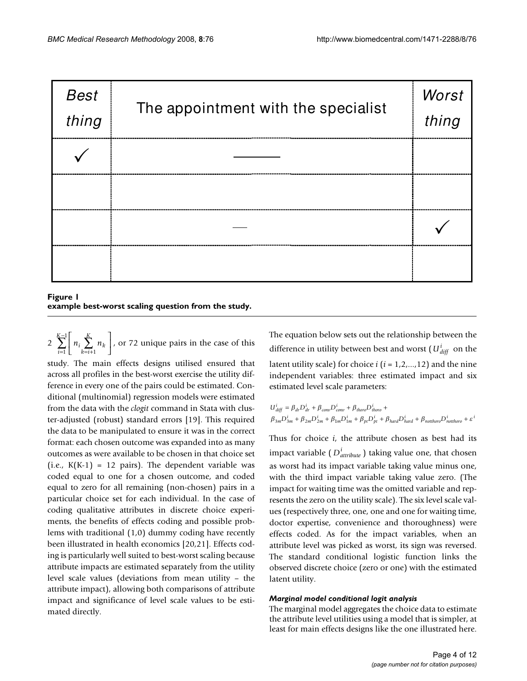| <b>Best</b><br>----<br>thing | The appointment with the specialist | Worst<br>thing |
|------------------------------|-------------------------------------|----------------|
|                              |                                     |                |
|                              |                                     |                |
|                              |                                     |                |
|                              |                                     |                |

**Figure 1 example best-worst scaling question from the study.**

2  $\sum_{i=1}^{\infty} \left[ n_i \sum_{k=i+1}^{\infty} n_k \right]$ , or 72 unique pairs in the case of this *K i K*  $=1 \begin{bmatrix} k=i+1 \\ k \end{bmatrix}$  $\sum_{i=1}^{K-1} \left[ n_i \sum_{k=i+1}^{K} n_k \right]$ 1

study. The main effects designs utilised ensured that across all profiles in the best-worst exercise the utility difference in every one of the pairs could be estimated. Conditional (multinomial) regression models were estimated from the data with the *clogit* command in Stata with cluster-adjusted (robust) standard errors [19]. This required the data to be manipulated to ensure it was in the correct format: each chosen outcome was expanded into as many outcomes as were available to be chosen in that choice set (i.e.,  $K(K-1) = 12$  pairs). The dependent variable was coded equal to one for a chosen outcome, and coded equal to zero for all remaining (non-chosen) pairs in a particular choice set for each individual. In the case of coding qualitative attributes in discrete choice experiments, the benefits of effects coding and possible problems with traditional (1,0) dummy coding have recently been illustrated in health economics [20,21]. Effects coding is particularly well suited to best-worst scaling because attribute impacts are estimated separately from the utility level scale values (deviations from mean utility – the attribute impact), allowing both comparisons of attribute impact and significance of level scale values to be estimated directly.

The equation below sets out the relationship between the difference in utility between best and worst ( $U_{\textit{diff}}^i$  on the latent utility scale) for choice *i* (*i* = 1,2,...,12) and the nine independent variables: three estimated impact and six estimated level scale parameters:

$$
\begin{aligned} U_{diff}^i &= \beta_{dr} D_{dr}^i + \beta_{conv} D_{conv}^i + \beta_{thoro} D_{thoro}^i + \\ \beta_{3m} D_{3m}^i + \beta_{2m} D_{2m}^i + \beta_{1m} D_{1m}^i + \beta_{pt} D_{pt}^i + \beta_{hard} D_{hard}^i + \beta_{notthoro} D_{notthoro}^i + \varepsilon^i \end{aligned}
$$

Thus for choice *i*, the attribute chosen as best had its impact variable ( $D_{\text{attribute}}^i$ ) taking value one, that chosen as worst had its impact variable taking value minus one, with the third impact variable taking value zero. (The impact for waiting time was the omitted variable and represents the zero on the utility scale). The six level scale values (respectively three, one, one and one for waiting time, doctor expertise, convenience and thoroughness) were effects coded. As for the impact variables, when an attribute level was picked as worst, its sign was reversed. The standard conditional logistic function links the observed discrete choice (zero or one) with the estimated latent utility.

# *Marginal model conditional logit analysis*

The marginal model aggregates the choice data to estimate the attribute level utilities using a model that is simpler, at least for main effects designs like the one illustrated here.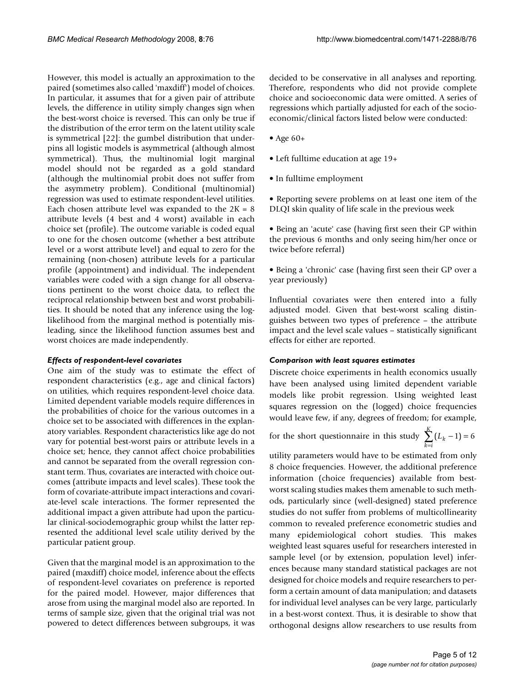However, this model is actually an approximation to the paired (sometimes also called 'maxdiff') model of choices. In particular, it assumes that for a given pair of attribute levels, the difference in utility simply changes sign when the best-worst choice is reversed. This can only be true if the distribution of the error term on the latent utility scale is symmetrical [22]: the gumbel distribution that underpins all logistic models is asymmetrical (although almost symmetrical). Thus, the multinomial logit marginal model should not be regarded as a gold standard (although the multinomial probit does not suffer from the asymmetry problem). Conditional (multinomial) regression was used to estimate respondent-level utilities. Each chosen attribute level was expanded to the  $2K = 8$ attribute levels (4 best and 4 worst) available in each choice set (profile). The outcome variable is coded equal to one for the chosen outcome (whether a best attribute level or a worst attribute level) and equal to zero for the remaining (non-chosen) attribute levels for a particular profile (appointment) and individual. The independent variables were coded with a sign change for all observations pertinent to the worst choice data, to reflect the reciprocal relationship between best and worst probabilities. It should be noted that any inference using the loglikelihood from the marginal method is potentially misleading, since the likelihood function assumes best and worst choices are made independently.

# *Effects of respondent-level covariates*

One aim of the study was to estimate the effect of respondent characteristics (e.g., age and clinical factors) on utilities, which requires respondent-level choice data. Limited dependent variable models require differences in the probabilities of choice for the various outcomes in a choice set to be associated with differences in the explanatory variables. Respondent characteristics like age do not vary for potential best-worst pairs or attribute levels in a choice set; hence, they cannot affect choice probabilities and cannot be separated from the overall regression constant term. Thus, covariates are interacted with choice outcomes (attribute impacts and level scales). These took the form of covariate-attribute impact interactions and covariate-level scale interactions. The former represented the additional impact a given attribute had upon the particular clinical-sociodemographic group whilst the latter represented the additional level scale utility derived by the particular patient group.

Given that the marginal model is an approximation to the paired (maxdiff) choice model, inference about the effects of respondent-level covariates on preference is reported for the paired model. However, major differences that arose from using the marginal model also are reported. In terms of sample size, given that the original trial was not powered to detect differences between subgroups, it was

decided to be conservative in all analyses and reporting. Therefore, respondents who did not provide complete choice and socioeconomic data were omitted. A series of regressions which partially adjusted for each of the socioeconomic/clinical factors listed below were conducted:

- Age 60+
- Left fulltime education at age 19+
- In fulltime employment

• Reporting severe problems on at least one item of the DLQI skin quality of life scale in the previous week

• Being an 'acute' case (having first seen their GP within the previous 6 months and only seeing him/her once or twice before referral)

• Being a 'chronic' case (having first seen their GP over a year previously)

Influential covariates were then entered into a fully adjusted model. Given that best-worst scaling distinguishes between two types of preference – the attribute impact and the level scale values – statistically significant effects for either are reported.

# *Comparison with least squares estimates*

Discrete choice experiments in health economics usually have been analysed using limited dependent variable models like probit regression. Using weighted least squares regression on the (logged) choice frequencies would leave few, if any, degrees of freedom; for example,

for the short questionnaire in this study  $\sum_{k=i}^{n} (L_k - 1)$  $\sum_{k=1}^{K} (L_k - 1) =$  $\sum_{k=i} (L_k - 1) = 6$ 

utility parameters would have to be estimated from only 8 choice frequencies. However, the additional preference information (choice frequencies) available from bestworst scaling studies makes them amenable to such methods, particularly since (well-designed) stated preference studies do not suffer from problems of multicollinearity common to revealed preference econometric studies and many epidemiological cohort studies. This makes weighted least squares useful for researchers interested in sample level (or by extension, population level) inferences because many standard statistical packages are not designed for choice models and require researchers to perform a certain amount of data manipulation; and datasets for individual level analyses can be very large, particularly in a best-worst context. Thus, it is desirable to show that orthogonal designs allow researchers to use results from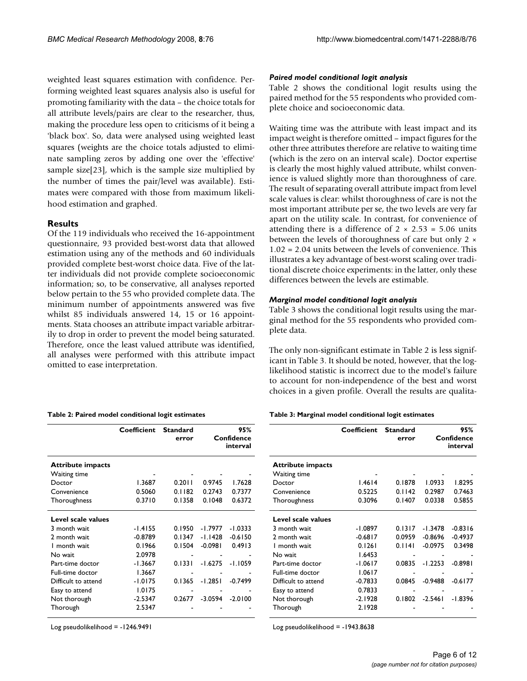weighted least squares estimation with confidence. Performing weighted least squares analysis also is useful for promoting familiarity with the data – the choice totals for all attribute levels/pairs are clear to the researcher, thus, making the procedure less open to criticisms of it being a 'black box'. So, data were analysed using weighted least squares (weights are the choice totals adjusted to eliminate sampling zeros by adding one over the 'effective' sample size[23], which is the sample size multiplied by the number of times the pair/level was available). Estimates were compared with those from maximum likelihood estimation and graphed.

# **Results**

Of the 119 individuals who received the 16-appointment questionnaire, 93 provided best-worst data that allowed estimation using any of the methods and 60 individuals provided complete best-worst choice data. Five of the latter individuals did not provide complete socioeconomic information; so, to be conservative, all analyses reported below pertain to the 55 who provided complete data. The minimum number of appointments answered was five whilst 85 individuals answered 14, 15 or 16 appointments. Stata chooses an attribute impact variable arbitrarily to drop in order to prevent the model being saturated. Therefore, once the least valued attribute was identified, all analyses were performed with this attribute impact omitted to ease interpretation.

#### **Table 2: Paired model conditional logit estimates**

|                          | Coefficient | <b>Standard</b><br>error | 95%<br>Confidence<br>interval |           |
|--------------------------|-------------|--------------------------|-------------------------------|-----------|
| <b>Attribute impacts</b> |             |                          |                               |           |
| Waiting time             |             |                          |                               |           |
| Doctor                   | 1.3687      | 0.2011                   | 0.9745                        | 1.7628    |
| Convenience              | 0.5060      | 0.1182                   | 0.2743                        | 0.7377    |
| Thoroughness             | 0.3710      | 0.1358                   | 0.1048                        | 0.6372    |
| Level scale values       |             |                          |                               |           |
| 3 month wait             | $-1.4155$   | 0.1950                   | -1.7977                       | -1.0333   |
| 2 month wait             | $-0.8789$   | 0.1347                   | $-1.1428$                     | $-0.6150$ |
| I month wait             | 0.1966      | 0.1504                   | $-0.0981$                     | 0.4913    |
| No wait                  | 2.0978      |                          |                               |           |
| Part-time doctor         | $-1.3667$   | 0.1331                   | $-1.6275$                     | $-1.1059$ |
| Full-time doctor         | 1.3667      |                          |                               |           |
| Difficult to attend      | $-1.0175$   | 0.1365                   | $-1.2851$                     | $-0.7499$ |
| Easy to attend           | 1.0175      |                          |                               |           |
| Not thorough             | $-2.5347$   | 0.2677                   | $-3.0594$                     | $-2.0100$ |
| Thorough                 | 2.5347      |                          |                               |           |

Log pseudolikelihood = -1246.9491

# *Paired model conditional logit analysis*

Table 2 shows the conditional logit results using the paired method for the 55 respondents who provided complete choice and socioeconomic data.

Waiting time was the attribute with least impact and its impact weight is therefore omitted – impact figures for the other three attributes therefore are relative to waiting time (which is the zero on an interval scale). Doctor expertise is clearly the most highly valued attribute, whilst convenience is valued slightly more than thoroughness of care. The result of separating overall attribute impact from level scale values is clear: whilst thoroughness of care is not the most important attribute per se, the two levels are very far apart on the utility scale. In contrast, for convenience of attending there is a difference of  $2 \times 2.53 = 5.06$  units between the levels of thoroughness of care but only 2 × 1.02 = 2.04 units between the levels of convenience. This illustrates a key advantage of best-worst scaling over traditional discrete choice experiments: in the latter, only these differences between the levels are estimable.

# *Marginal model conditional logit analysis*

Table 3 shows the conditional logit results using the marginal method for the 55 respondents who provided complete data.

The only non-significant estimate in Table 2 is less significant in Table 3. It should be noted, however, that the loglikelihood statistic is incorrect due to the model's failure to account for non-independence of the best and worst choices in a given profile. Overall the results are qualita-

|                          | Coefficient | <b>Standard</b><br>error | 95%<br>Confidence<br>interval |           |
|--------------------------|-------------|--------------------------|-------------------------------|-----------|
| <b>Attribute impacts</b> |             |                          |                               |           |
| Waiting time             |             |                          |                               |           |
| Doctor                   | 1.4614      | 0.1878                   | 1.0933                        | 1.8295    |
| Convenience              | 0.5225      | 0.1142                   | 0.2987                        | 0.7463    |
| Thoroughness             | 0.3096      | 0.1407                   | 0.0338                        | 0.5855    |
| Level scale values       |             |                          |                               |           |
| 3 month wait             | -1.0897     | 0.1317                   | -1.3478                       | $-0.8316$ |
| 2 month wait             | $-0.6817$   | 0.0959                   | $-0.8696$                     | $-0.4937$ |
| I month wait             | 0.1261      | 0.1141                   | $-0.0975$                     | 0.3498    |
| No wait                  | 1.6453      |                          |                               |           |
| Part-time doctor         | $-1.0617$   | 0.0835                   | $-1.2253$                     | $-0.8981$ |
| Full-time doctor         | 1.0617      |                          |                               |           |
| Difficult to attend      | $-0.7833$   | 0.0845                   | $-0.9488$                     | $-0.6177$ |
| Easy to attend           | 0.7833      |                          |                               |           |
| Not thorough             | $-2.1928$   | 0.1802                   | $-2.5461$                     | -1.8396   |
| Thorough                 | 2.1928      |                          |                               |           |

Log pseudolikelihood = -1943.8638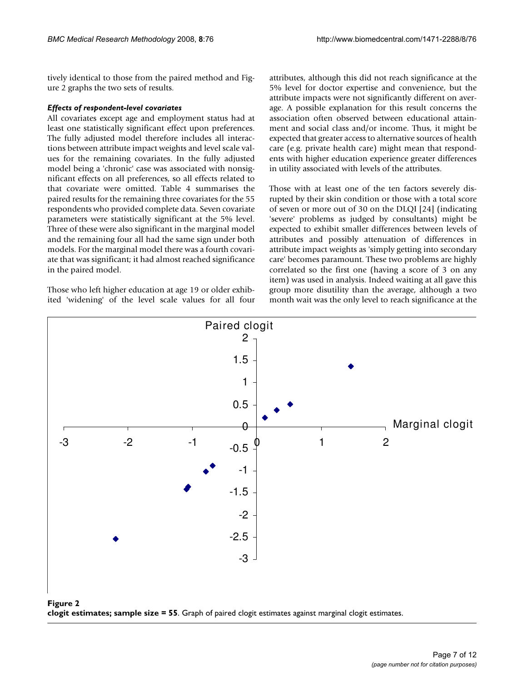tively identical to those from the paired method and Figure 2 graphs the two sets of results.

# *Effects of respondent-level covariates*

All covariates except age and employment status had at least one statistically significant effect upon preferences. The fully adjusted model therefore includes all interactions between attribute impact weights and level scale values for the remaining covariates. In the fully adjusted model being a 'chronic' case was associated with nonsignificant effects on all preferences, so all effects related to that covariate were omitted. Table 4 summarises the paired results for the remaining three covariates for the 55 respondents who provided complete data. Seven covariate parameters were statistically significant at the 5% level. Three of these were also significant in the marginal model and the remaining four all had the same sign under both models. For the marginal model there was a fourth covariate that was significant; it had almost reached significance in the paired model.

Those who left higher education at age 19 or older exhibited 'widening' of the level scale values for all four attributes, although this did not reach significance at the 5% level for doctor expertise and convenience, but the attribute impacts were not significantly different on average. A possible explanation for this result concerns the association often observed between educational attainment and social class and/or income. Thus, it might be expected that greater access to alternative sources of health care (e.g. private health care) might mean that respondents with higher education experience greater differences in utility associated with levels of the attributes.

Those with at least one of the ten factors severely disrupted by their skin condition or those with a total score of seven or more out of 30 on the DLQI [24] (indicating 'severe' problems as judged by consultants) might be expected to exhibit smaller differences between levels of attributes and possibly attenuation of differences in attribute impact weights as 'simply getting into secondary care' becomes paramount. These two problems are highly correlated so the first one (having a score of 3 on any item) was used in analysis. Indeed waiting at all gave this group more disutility than the average, although a two month wait was the only level to reach significance at the



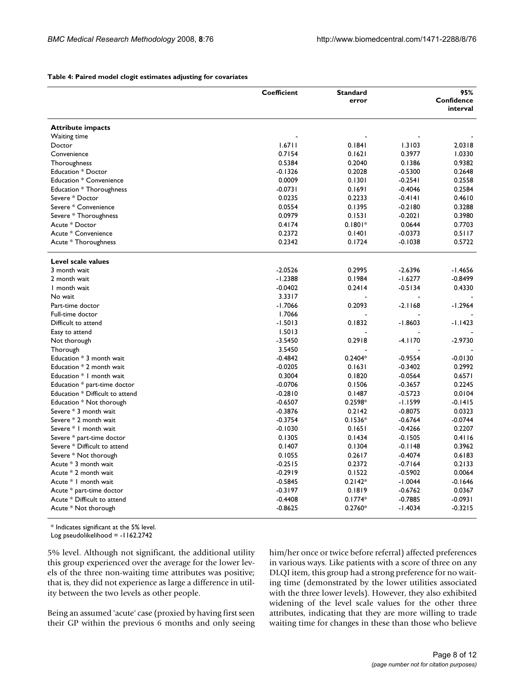#### **Table 4: Paired model clogit estimates adjusting for covariates**

|                                 | <b>Coefficient</b> | <b>Standard</b> |           | 95%               |
|---------------------------------|--------------------|-----------------|-----------|-------------------|
|                                 |                    | error           |           | <b>Confidence</b> |
|                                 |                    |                 |           | interval          |
| <b>Attribute impacts</b>        |                    |                 |           |                   |
| Waiting time                    |                    |                 |           |                   |
| Doctor                          | 1.6711             | 0.1841          | 1.3103    | 2.0318            |
| Convenience                     | 0.7154             | 0.1621          | 0.3977    | 1.0330            |
| Thoroughness                    | 0.5384             | 0.2040          | 0.1386    | 0.9382            |
| Education * Doctor              | $-0.1326$          | 0.2028          | $-0.5300$ | 0.2648            |
| Education * Convenience         | 0.0009             | 0.1301          | $-0.2541$ | 0.2558            |
| Education * Thoroughness        | $-0.0731$          | 0.1691          | $-0.4046$ | 0.2584            |
| Severe * Doctor                 | 0.0235             | 0.2233          | $-0.4141$ | 0.4610            |
| Severe * Convenience            | 0.0554             | 0.1395          | $-0.2180$ | 0.3288            |
| Severe * Thoroughness           | 0.0979             | 0.1531          | $-0.2021$ | 0.3980            |
| Acute * Doctor                  | 0.4174             | $0.1801*$       | 0.0644    | 0.7703            |
| Acute * Convenience             | 0.2372             | 0.1401          | $-0.0373$ | 0.5117            |
| Acute * Thoroughness            | 0.2342             | 0.1724          | -0.1038   | 0.5722            |
| Level scale values              |                    |                 |           |                   |
| 3 month wait                    | $-2.0526$          | 0.2995          | $-2.6396$ | $-1.4656$         |
| 2 month wait                    | $-1.2388$          | 0.1984          | $-1.6277$ | $-0.8499$         |
| I month wait                    | $-0.0402$          | 0.2414          | $-0.5134$ | 0.4330            |
| No wait                         | 3.3317             |                 |           |                   |
| Part-time doctor                | $-1.7066$          | 0.2093          | $-2.1168$ | $-1.2964$         |
| Full-time doctor                | 1.7066             |                 |           |                   |
| Difficult to attend             | $-1.5013$          | 0.1832          | $-1.8603$ | $-1.1423$         |
| Easy to attend                  | 1.5013             |                 |           |                   |
| Not thorough                    | $-3.5450$          | 0.2918          | $-4.1170$ | $-2.9730$         |
| Thorough                        | 3.5450             |                 |           |                   |
| Education * 3 month wait        | $-0.4842$          | $0.2404*$       | $-0.9554$ | $-0.0130$         |
| Education * 2 month wait        | $-0.0205$          | 0.1631          | $-0.3402$ | 0.2992            |
| Education * I month wait        | 0.3004             | 0.1820          | $-0.0564$ | 0.6571            |
| Education * part-time doctor    | $-0.0706$          | 0.1506          | $-0.3657$ | 0.2245            |
| Education * Difficult to attend | $-0.2810$          | 0.1487          | $-0.5723$ | 0.0104            |
| Education * Not thorough        | $-0.6507$          | $0.2598*$       | $-1.1599$ | $-0.1415$         |
| Severe * 3 month wait           | $-0.3876$          | 0.2142          | $-0.8075$ | 0.0323            |
| Severe * 2 month wait           | $-0.3754$          | $0.1536*$       | $-0.6764$ | $-0.0744$         |
| Severe * I month wait           | $-0.1030$          | 0.1651          | $-0.4266$ | 0.2207            |
| Severe * part-time doctor       | 0.1305             | 0.1434          | $-0.1505$ | 0.4116            |
| Severe * Difficult to attend    | 0.1407             | 0.1304          | $-0.1148$ | 0.3962            |
| Severe * Not thorough           | 0.1055             | 0.2617          | $-0.4074$ | 0.6183            |
| Acute * 3 month wait            | $-0.2515$          | 0.2372          | $-0.7164$ | 0.2133            |
| Acute * 2 month wait            | $-0.2919$          | 0.1522          | $-0.5902$ | 0.0064            |
| Acute * I month wait            | $-0.5845$          | $0.2142*$       | $-1.0044$ | $-0.1646$         |
| Acute * part-time doctor        | $-0.3197$          | 0.1819          | $-0.6762$ | 0.0367            |
| Acute * Difficult to attend     | $-0.4408$          | $0.1774*$       | $-0.7885$ | $-0.0931$         |
| Acute * Not thorough            | $-0.8625$          | $0.2760*$       | $-1.4034$ | $-0.3215$         |

\* Indicates significant at the 5% level.

Log pseudolikelihood = -1162.2742

5% level. Although not significant, the additional utility this group experienced over the average for the lower levels of the three non-waiting time attributes was positive; that is, they did not experience as large a difference in utility between the two levels as other people.

Being an assumed 'acute' case (proxied by having first seen their GP within the previous 6 months and only seeing him/her once or twice before referral) affected preferences in various ways. Like patients with a score of three on any DLQI item, this group had a strong preference for no waiting time (demonstrated by the lower utilities associated with the three lower levels). However, they also exhibited widening of the level scale values for the other three attributes, indicating that they are more willing to trade waiting time for changes in these than those who believe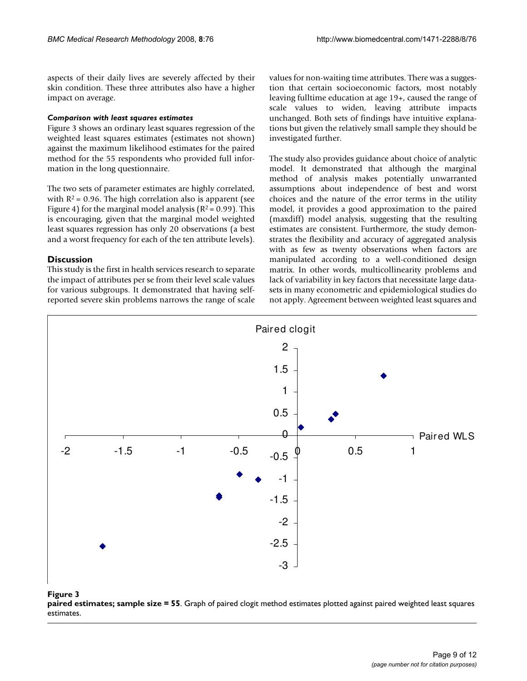aspects of their daily lives are severely affected by their skin condition. These three attributes also have a higher impact on average.

### *Comparison with least squares estimates*

Figure 3 shows an ordinary least squares regression of the weighted least squares estimates (estimates not shown) against the maximum likelihood estimates for the paired method for the 55 respondents who provided full information in the long questionnaire.

The two sets of parameter estimates are highly correlated, with  $R^2$  = 0.96. The high correlation also is apparent (see Figure 4) for the marginal model analysis ( $R^2 = 0.99$ ). This is encouraging, given that the marginal model weighted least squares regression has only 20 observations (a best and a worst frequency for each of the ten attribute levels).

# **Discussion**

This study is the first in health services research to separate the impact of attributes per se from their level scale values for various subgroups. It demonstrated that having selfreported severe skin problems narrows the range of scale values for non-waiting time attributes. There was a suggestion that certain socioeconomic factors, most notably leaving fulltime education at age 19+, caused the range of scale values to widen, leaving attribute impacts unchanged. Both sets of findings have intuitive explanations but given the relatively small sample they should be investigated further.

The study also provides guidance about choice of analytic model. It demonstrated that although the marginal method of analysis makes potentially unwarranted assumptions about independence of best and worst choices and the nature of the error terms in the utility model, it provides a good approximation to the paired (maxdiff) model analysis, suggesting that the resulting estimates are consistent. Furthermore, the study demonstrates the flexibility and accuracy of aggregated analysis with as few as twenty observations when factors are manipulated according to a well-conditioned design matrix. In other words, multicollinearity problems and lack of variability in key factors that necessitate large datasets in many econometric and epidemiological studies do not apply. Agreement between weighted least squares and



#### **Figure 3**

**paired estimates; sample size = 55**. Graph of paired clogit method estimates plotted against paired weighted least squares estimates.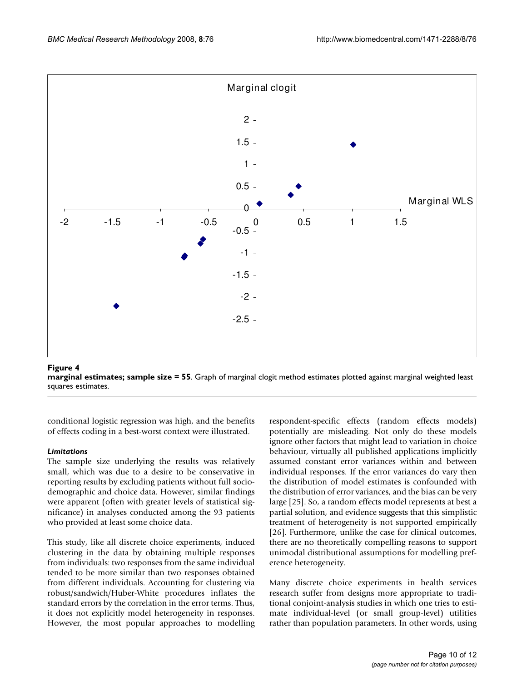

# **Figure 4**

**marginal estimates; sample size = 55**. Graph of marginal clogit method estimates plotted against marginal weighted least squares estimates.

conditional logistic regression was high, and the benefits of effects coding in a best-worst context were illustrated.

# *Limitations*

The sample size underlying the results was relatively small, which was due to a desire to be conservative in reporting results by excluding patients without full sociodemographic and choice data. However, similar findings were apparent (often with greater levels of statistical significance) in analyses conducted among the 93 patients who provided at least some choice data.

This study, like all discrete choice experiments, induced clustering in the data by obtaining multiple responses from individuals: two responses from the same individual tended to be more similar than two responses obtained from different individuals. Accounting for clustering via robust/sandwich/Huber-White procedures inflates the standard errors by the correlation in the error terms. Thus, it does not explicitly model heterogeneity in responses. However, the most popular approaches to modelling respondent-specific effects (random effects models) potentially are misleading. Not only do these models ignore other factors that might lead to variation in choice behaviour, virtually all published applications implicitly assumed constant error variances within and between individual responses. If the error variances do vary then the distribution of model estimates is confounded with the distribution of error variances, and the bias can be very large [25]. So, a random effects model represents at best a partial solution, and evidence suggests that this simplistic treatment of heterogeneity is not supported empirically [26]. Furthermore, unlike the case for clinical outcomes, there are no theoretically compelling reasons to support unimodal distributional assumptions for modelling preference heterogeneity.

Many discrete choice experiments in health services research suffer from designs more appropriate to traditional conjoint-analysis studies in which one tries to estimate individual-level (or small group-level) utilities rather than population parameters. In other words, using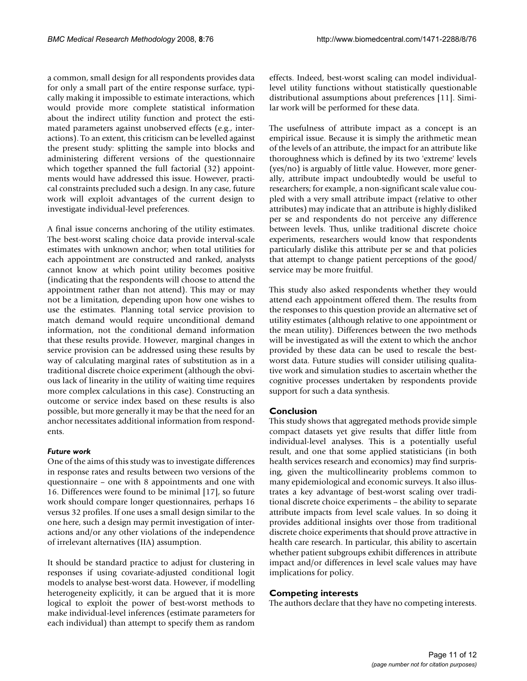a common, small design for all respondents provides data for only a small part of the entire response surface, typically making it impossible to estimate interactions, which would provide more complete statistical information about the indirect utility function and protect the estimated parameters against unobserved effects (e.g., interactions). To an extent, this criticism can be levelled against the present study: splitting the sample into blocks and administering different versions of the questionnaire which together spanned the full factorial (32) appointments would have addressed this issue. However, practical constraints precluded such a design. In any case, future work will exploit advantages of the current design to investigate individual-level preferences.

A final issue concerns anchoring of the utility estimates. The best-worst scaling choice data provide interval-scale estimates with unknown anchor; when total utilities for each appointment are constructed and ranked, analysts cannot know at which point utility becomes positive (indicating that the respondents will choose to attend the appointment rather than not attend). This may or may not be a limitation, depending upon how one wishes to use the estimates. Planning total service provision to match demand would require unconditional demand information, not the conditional demand information that these results provide. However, marginal changes in service provision can be addressed using these results by way of calculating marginal rates of substitution as in a traditional discrete choice experiment (although the obvious lack of linearity in the utility of waiting time requires more complex calculations in this case). Constructing an outcome or service index based on these results is also possible, but more generally it may be that the need for an anchor necessitates additional information from respondents.

# *Future work*

One of the aims of this study was to investigate differences in response rates and results between two versions of the questionnaire – one with 8 appointments and one with 16. Differences were found to be minimal [17], so future work should compare longer questionnaires, perhaps 16 versus 32 profiles. If one uses a small design similar to the one here, such a design may permit investigation of interactions and/or any other violations of the independence of irrelevant alternatives (IIA) assumption.

It should be standard practice to adjust for clustering in responses if using covariate-adjusted conditional logit models to analyse best-worst data. However, if modelling heterogeneity explicitly, it can be argued that it is more logical to exploit the power of best-worst methods to make individual-level inferences (estimate parameters for each individual) than attempt to specify them as random

effects. Indeed, best-worst scaling can model individuallevel utility functions without statistically questionable distributional assumptions about preferences [11]. Similar work will be performed for these data.

The usefulness of attribute impact as a concept is an empirical issue. Because it is simply the arithmetic mean of the levels of an attribute, the impact for an attribute like thoroughness which is defined by its two 'extreme' levels (yes/no) is arguably of little value. However, more generally, attribute impact undoubtedly would be useful to researchers; for example, a non-significant scale value coupled with a very small attribute impact (relative to other attributes) may indicate that an attribute is highly disliked per se and respondents do not perceive any difference between levels. Thus, unlike traditional discrete choice experiments, researchers would know that respondents particularly dislike this attribute per se and that policies that attempt to change patient perceptions of the good/ service may be more fruitful.

This study also asked respondents whether they would attend each appointment offered them. The results from the responses to this question provide an alternative set of utility estimates (although relative to one appointment or the mean utility). Differences between the two methods will be investigated as will the extent to which the anchor provided by these data can be used to rescale the bestworst data. Future studies will consider utilising qualitative work and simulation studies to ascertain whether the cognitive processes undertaken by respondents provide support for such a data synthesis.

# **Conclusion**

This study shows that aggregated methods provide simple compact datasets yet give results that differ little from individual-level analyses. This is a potentially useful result, and one that some applied statisticians (in both health services research and economics) may find surprising, given the multicollinearity problems common to many epidemiological and economic surveys. It also illustrates a key advantage of best-worst scaling over traditional discrete choice experiments – the ability to separate attribute impacts from level scale values. In so doing it provides additional insights over those from traditional discrete choice experiments that should prove attractive in health care research. In particular, this ability to ascertain whether patient subgroups exhibit differences in attribute impact and/or differences in level scale values may have implications for policy.

# **Competing interests**

The authors declare that they have no competing interests.